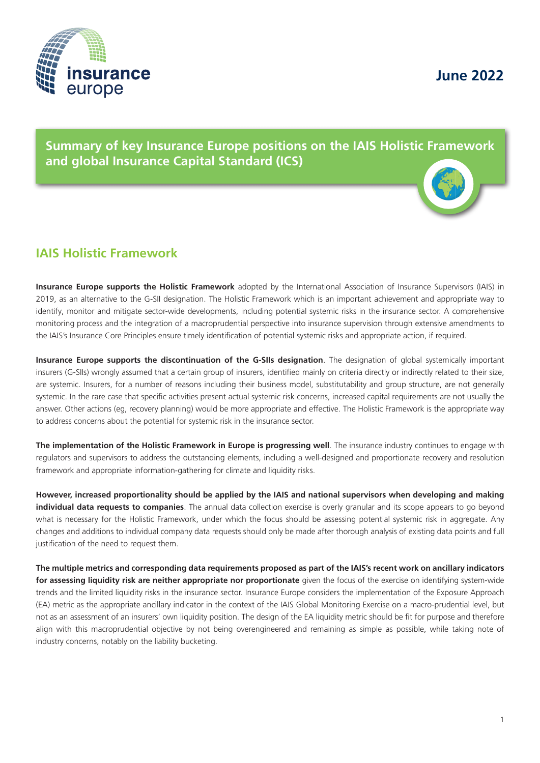

**June 2022**

**Summary of key Insurance Europe positions on the IAIS Holistic Framework and global Insurance Capital Standard (ICS)**

## **IAIS Holistic Framework**

**Insurance Europe supports the Holistic Framework** adopted by the International Association of Insurance Supervisors (IAIS) in 2019, as an alternative to the G-SII designation. The Holistic Framework which is an important achievement and appropriate way to identify, monitor and mitigate sector-wide developments, including potential systemic risks in the insurance sector. A comprehensive monitoring process and the integration of a macroprudential perspective into insurance supervision through extensive amendments to the IAIS's Insurance Core Principles ensure timely identification of potential systemic risks and appropriate action, if required.

**Insurance Europe supports the discontinuation of the G-SIIs designation**. The designation of global systemically important insurers (G-SIIs) wrongly assumed that a certain group of insurers, identified mainly on criteria directly or indirectly related to their size, are systemic. Insurers, for a number of reasons including their business model, substitutability and group structure, are not generally systemic. In the rare case that specific activities present actual systemic risk concerns, increased capital requirements are not usually the answer. Other actions (eg, recovery planning) would be more appropriate and effective. The Holistic Framework is the appropriate way to address concerns about the potential for systemic risk in the insurance sector.

**The implementation of the Holistic Framework in Europe is progressing well**. The insurance industry continues to engage with regulators and supervisors to address the outstanding elements, including a well-designed and proportionate recovery and resolution framework and appropriate information-gathering for climate and liquidity risks.

**However, increased proportionality should be applied by the IAIS and national supervisors when developing and making individual data requests to companies**. The annual data collection exercise is overly granular and its scope appears to go beyond what is necessary for the Holistic Framework, under which the focus should be assessing potential systemic risk in aggregate. Any changes and additions to individual company data requests should only be made after thorough analysis of existing data points and full justification of the need to request them.

**The multiple metrics and corresponding data requirements proposed as part of the IAIS's recent work on ancillary indicators for assessing liquidity risk are neither appropriate nor proportionate** given the focus of the exercise on identifying system-wide trends and the limited liquidity risks in the insurance sector. Insurance Europe considers the implementation of the Exposure Approach (EA) metric as the appropriate ancillary indicator in the context of the IAIS Global Monitoring Exercise on a macro-prudential level, but not as an assessment of an insurers' own liquidity position. The design of the EA liquidity metric should be fit for purpose and therefore align with this macroprudential objective by not being overengineered and remaining as simple as possible, while taking note of industry concerns, notably on the liability bucketing.